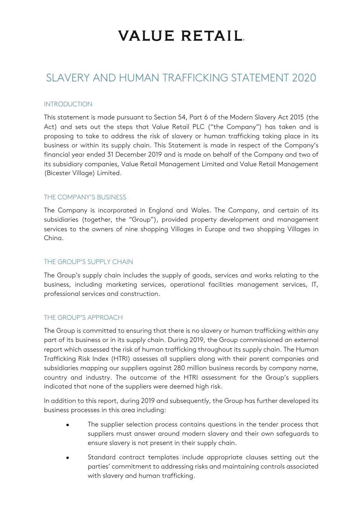# **VALUE RETAIL**

### SLAVERY AND HUMAN TRAFFICKING STATEMENT 2020

#### INTRODUCTION

This statement is made pursuant to Section 54, Part 6 of the Modern Slavery Act 2015 (the Act) and sets out the steps that Value Retail PLC ("the Company") has taken and is proposing to take to address the risk of slavery or human trafficking taking place in its business or within its supply chain. This Statement is made in respect of the Company's financial year ended 31 December 2019 and is made on behalf of the Company and two of its subsidiary companies, Value Retail Management Limited and Value Retail Management (Bicester Village) Limited.

#### THE COMPANY'S BUSINESS

The Company is incorporated in England and Wales. The Company, and certain of its subsidiaries (together, the "Group"), provided property development and management services to the owners of nine shopping Villages in Europe and two shopping Villages in China.

#### THE GROUP'S SUPPLY CHAIN

The Group's supply chain includes the supply of goods, services and works relating to the business, including marketing services, operational facilities management services, IT, professional services and construction.

#### THE GROUP'S APPROACH

The Group is committed to ensuring that there is no slavery or human trafficking within any part of its business or in its supply chain. During 2019, the Group commissioned an external report which assessed the risk of human trafficking throughout its supply chain. The Human Trafficking Risk Index (HTRI) assesses all suppliers along with their parent companies and subsidiaries mapping our suppliers against 280 million business records by company name, country and industry. The outcome of the HTRI assessment for the Group's suppliers indicated that none of the suppliers were deemed high risk.

In addition to this report, during 2019 and subsequently, the Group has further developed its business processes in this area including:

- The supplier selection process contains questions in the tender process that suppliers must answer around modern slavery and their own safeguards to ensure slavery is not present in their supply chain.
- Standard contract templates include appropriate clauses setting out the parties' commitment to addressing risks and maintaining controls associated with slavery and human trafficking.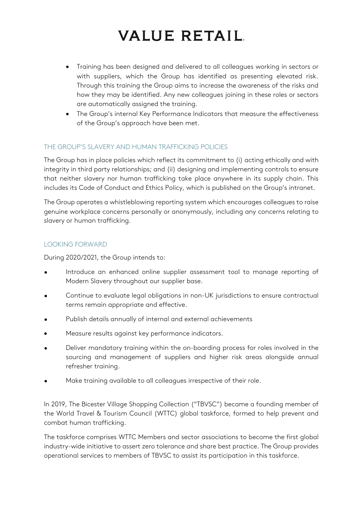# **VALUE RETAIL**

- Training has been designed and delivered to all colleagues working in sectors or with suppliers, which the Group has identified as presenting elevated risk. Through this training the Group aims to increase the awareness of the risks and how they may be identified. Any new colleagues joining in these roles or sectors are automatically assigned the training.
- The Group's internal Key Performance Indicators that measure the effectiveness of the Group's approach have been met.

#### THE GROUP'S SLAVERY AND HUMAN TRAFFICKING POLICIES

The Group has in place policies which reflect its commitment to (i) acting ethically and with integrity in third party relationships; and (ii) designing and implementing controls to ensure that neither slavery nor human trafficking take place anywhere in its supply chain. This includes its Code of Conduct and Ethics Policy, which is published on the Group's intranet.

The Group operates a whistleblowing reporting system which encourages colleagues to raise genuine workplace concerns personally or anonymously, including any concerns relating to slavery or human trafficking.

#### LOOKING FORWARD

During 2020/2021, the Group intends to:

- Introduce an enhanced online supplier assessment tool to manage reporting of Modern Slavery throughout our supplier base.
- Continue to evaluate legal obligations in non-UK jurisdictions to ensure contractual terms remain appropriate and effective.
- Publish details annually of internal and external achievements
- Measure results against key performance indicators.
- Deliver mandatory training within the on-boarding process for roles involved in the sourcing and management of suppliers and higher risk areas alongside annual refresher training.
- Make training available to all colleagues irrespective of their role.

In 2019, The Bicester Village Shopping Collection ("TBVSC") became a founding member of the World Travel & Tourism Council (WTTC) global taskforce, formed to help prevent and combat human trafficking.

The taskforce comprises WTTC Members and sector associations to become the first global industry-wide initiative to assert zero tolerance and share best practice. The Group provides operational services to members of TBVSC to assist its participation in this taskforce.